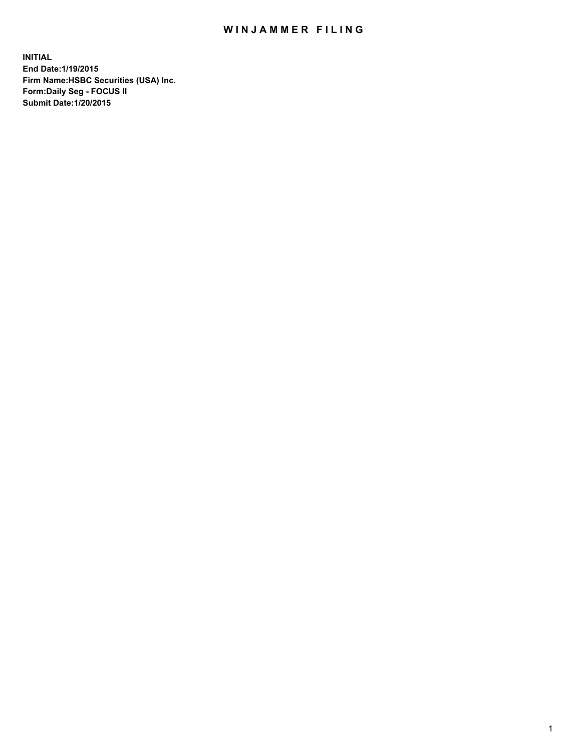## WIN JAMMER FILING

**INITIAL End Date:1/19/2015 Firm Name:HSBC Securities (USA) Inc. Form:Daily Seg - FOCUS II Submit Date:1/20/2015**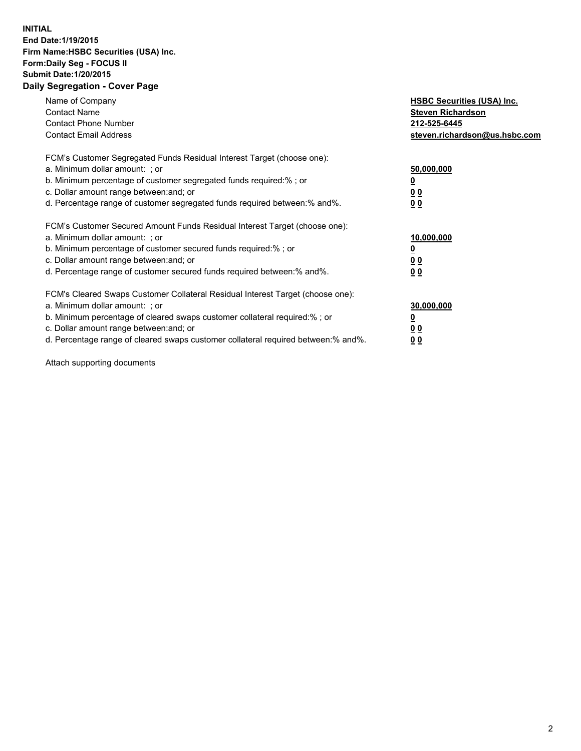## **INITIAL End Date:1/19/2015 Firm Name:HSBC Securities (USA) Inc. Form:Daily Seg - FOCUS II Submit Date:1/20/2015 Daily Segregation - Cover Page**

| Name of Company<br><b>Contact Name</b><br><b>Contact Phone Number</b><br><b>Contact Email Address</b>                                                                                                                                                                                                                          | <b>HSBC Securities (USA) Inc.</b><br><b>Steven Richardson</b><br>212-525-6445<br>steven.richardson@us.hsbc.com |
|--------------------------------------------------------------------------------------------------------------------------------------------------------------------------------------------------------------------------------------------------------------------------------------------------------------------------------|----------------------------------------------------------------------------------------------------------------|
| FCM's Customer Segregated Funds Residual Interest Target (choose one):<br>a. Minimum dollar amount: ; or<br>b. Minimum percentage of customer segregated funds required:%; or<br>c. Dollar amount range between: and; or<br>d. Percentage range of customer segregated funds required between: % and %.                        | 50,000,000<br>0 <sub>0</sub><br>0 <sub>0</sub>                                                                 |
| FCM's Customer Secured Amount Funds Residual Interest Target (choose one):<br>a. Minimum dollar amount: ; or<br>b. Minimum percentage of customer secured funds required:%; or<br>c. Dollar amount range between: and; or<br>d. Percentage range of customer secured funds required between:% and%.                            | 10,000,000<br><u>0</u><br>0 <sub>0</sub><br>0 <sub>0</sub>                                                     |
| FCM's Cleared Swaps Customer Collateral Residual Interest Target (choose one):<br>a. Minimum dollar amount: ; or<br>b. Minimum percentage of cleared swaps customer collateral required:% ; or<br>c. Dollar amount range between: and; or<br>d. Percentage range of cleared swaps customer collateral required between:% and%. | 30,000,000<br>00<br><u>00</u>                                                                                  |

Attach supporting documents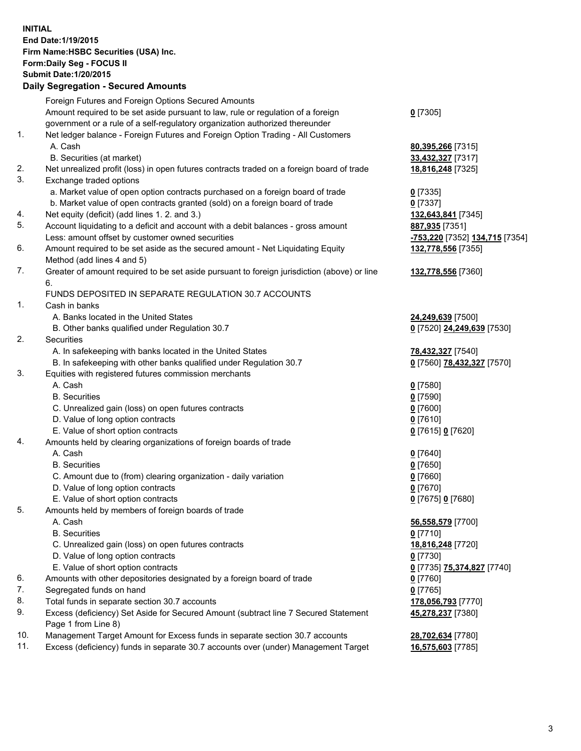**INITIAL End Date:1/19/2015 Firm Name:HSBC Securities (USA) Inc. Form:Daily Seg - FOCUS II Submit Date:1/20/2015 Daily Segregation - Secured Amounts** Foreign Futures and Foreign Options Secured Amounts Amount required to be set aside pursuant to law, rule or regulation of a foreign government or a rule of a self-regulatory organization authorized thereunder 1. Net ledger balance - Foreign Futures and Foreign Option Trading - All Customers A. Cash **80,395,266** [7315] B. Securities (at market) **33,432,327** [7317]

- 2. Net unrealized profit (loss) in open futures contracts traded on a foreign board of trade **18,816,248** [7325]
- 3. Exchange traded options
	- a. Market value of open option contracts purchased on a foreign board of trade **0** [7335]
	- b. Market value of open contracts granted (sold) on a foreign board of trade **0** [7337]
- 4. Net equity (deficit) (add lines 1. 2. and 3.) **132,643,841** [7345]
- 5. Account liquidating to a deficit and account with a debit balances gross amount **887,935** [7351] Less: amount offset by customer owned securities **-753,220** [7352] **134,715** [7354]
- 6. Amount required to be set aside as the secured amount Net Liquidating Equity Method (add lines 4 and 5)
- 7. Greater of amount required to be set aside pursuant to foreign jurisdiction (above) or line 6.

## FUNDS DEPOSITED IN SEPARATE REGULATION 30.7 ACCOUNTS

- 1. Cash in banks
	- A. Banks located in the United States **24,249,639** [7500]
	- B. Other banks qualified under Regulation 30.7 **0** [7520] **24,249,639** [7530]
- 2. Securities
	- A. In safekeeping with banks located in the United States **78,432,327** [7540]
	- B. In safekeeping with other banks qualified under Regulation 30.7 **0** [7560] **78,432,327** [7570]
- 3. Equities with registered futures commission merchants
	-
	- B. Securities **0** [7590]
	- C. Unrealized gain (loss) on open futures contracts **0** [7600]
	- D. Value of long option contracts **0** [7610]
	- E. Value of short option contracts **0** [7615] **0** [7620]
- 4. Amounts held by clearing organizations of foreign boards of trade
	-
	-
	- C. Amount due to (from) clearing organization daily variation **0** [7660]
	- D. Value of long option contracts **0** [7670]
	- E. Value of short option contracts **0** [7675] **0** [7680]
- 5. Amounts held by members of foreign boards of trade
	-
	-
	- C. Unrealized gain (loss) on open futures contracts **18,816,248** [7720]
	- D. Value of long option contracts **0** [7730]
	- E. Value of short option contracts **0** [7735] **75,374,827** [7740]
- 6. Amounts with other depositories designated by a foreign board of trade **0** [7760]
- 7. Segregated funds on hand **0** [7765]
- 8. Total funds in separate section 30.7 accounts **178,056,793** [7770]
- 9. Excess (deficiency) Set Aside for Secured Amount (subtract line 7 Secured Statement Page 1 from Line 8)
- 10. Management Target Amount for Excess funds in separate section 30.7 accounts **28,702,634** [7780]
- 11. Excess (deficiency) funds in separate 30.7 accounts over (under) Management Target **16,575,603** [7785]
- 
- **132,778,556** [7355]
- **132,778,556** [7360]

**0** [7305]

- 
- 
- A. Cash **0** [7580]
- A. Cash **0** [7640] B. Securities **0** [7650]
	-
- A. Cash **56,558,579** [7700] B. Securities **0** [7710] **45,278,237** [7380]
	-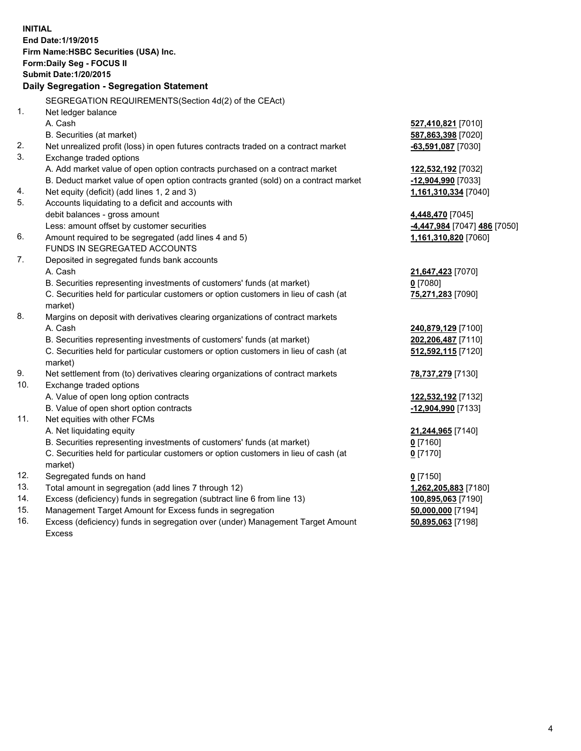| <b>INITIAL</b>                            |                                                                                                |                               |  |  |
|-------------------------------------------|------------------------------------------------------------------------------------------------|-------------------------------|--|--|
| End Date: 1/19/2015                       |                                                                                                |                               |  |  |
| Firm Name: HSBC Securities (USA) Inc.     |                                                                                                |                               |  |  |
| Form: Daily Seg - FOCUS II                |                                                                                                |                               |  |  |
| <b>Submit Date: 1/20/2015</b>             |                                                                                                |                               |  |  |
| Daily Segregation - Segregation Statement |                                                                                                |                               |  |  |
|                                           | SEGREGATION REQUIREMENTS(Section 4d(2) of the CEAct)                                           |                               |  |  |
| 1.                                        | Net ledger balance                                                                             |                               |  |  |
|                                           | A. Cash                                                                                        | 527,410,821 [7010]            |  |  |
|                                           | B. Securities (at market)                                                                      | 587,863,398 [7020]            |  |  |
| 2.                                        | Net unrealized profit (loss) in open futures contracts traded on a contract market             | -63,591,087 [7030]            |  |  |
| 3.                                        | Exchange traded options                                                                        |                               |  |  |
|                                           | A. Add market value of open option contracts purchased on a contract market                    | 122,532,192 <sub>[7032]</sub> |  |  |
|                                           | B. Deduct market value of open option contracts granted (sold) on a contract market            | -12,904,990 [7033]            |  |  |
| 4.                                        | Net equity (deficit) (add lines 1, 2 and 3)                                                    | 1,161,310,334 [7040]          |  |  |
| 5.                                        | Accounts liquidating to a deficit and accounts with                                            |                               |  |  |
|                                           | debit balances - gross amount                                                                  | 4,448,470 [7045]              |  |  |
|                                           | Less: amount offset by customer securities                                                     | 4,447,984 [7047] 486 [7050]   |  |  |
| 6.                                        | Amount required to be segregated (add lines 4 and 5)                                           | 1,161,310,820 [7060]          |  |  |
|                                           | FUNDS IN SEGREGATED ACCOUNTS                                                                   |                               |  |  |
| 7.                                        | Deposited in segregated funds bank accounts                                                    |                               |  |  |
|                                           | A. Cash                                                                                        | 21,647,423 [7070]             |  |  |
|                                           | B. Securities representing investments of customers' funds (at market)                         | $0$ [7080]                    |  |  |
|                                           | C. Securities held for particular customers or option customers in lieu of cash (at            | 75,271,283 [7090]             |  |  |
|                                           | market)                                                                                        |                               |  |  |
| 8.                                        | Margins on deposit with derivatives clearing organizations of contract markets                 |                               |  |  |
|                                           | A. Cash                                                                                        | 240,879,129 [7100]            |  |  |
|                                           | B. Securities representing investments of customers' funds (at market)                         | 202,206,487 [7110]            |  |  |
|                                           | C. Securities held for particular customers or option customers in lieu of cash (at            | 512,592,115 [7120]            |  |  |
|                                           | market)                                                                                        |                               |  |  |
| 9.                                        | Net settlement from (to) derivatives clearing organizations of contract markets                | 78,737,279 [7130]             |  |  |
| 10.                                       | Exchange traded options                                                                        |                               |  |  |
|                                           | A. Value of open long option contracts                                                         | 122,532,192 [7132]            |  |  |
|                                           | B. Value of open short option contracts                                                        | -12,904,990 [7133]            |  |  |
| 11.                                       | Net equities with other FCMs                                                                   |                               |  |  |
|                                           | A. Net liquidating equity                                                                      | 21,244,965 [7140]             |  |  |
|                                           | B. Securities representing investments of customers' funds (at market)                         | 0 [7160]                      |  |  |
|                                           | C. Securities held for particular customers or option customers in lieu of cash (at<br>market) | $0$ [7170]                    |  |  |
| 12.                                       | Segregated funds on hand                                                                       | $0$ [7150]                    |  |  |
| 13.                                       | Total amount in segregation (add lines 7 through 12)                                           | 1,262,205,883 [7180]          |  |  |
| 14.                                       | Excess (deficiency) funds in segregation (subtract line 6 from line 13)                        | 100,895,063 [7190]            |  |  |
| 15.                                       | Management Target Amount for Excess funds in segregation                                       | 50,000,000 [7194]             |  |  |
| 16.                                       | Excess (deficiency) funds in segregation over (under) Management Target Amount                 | 50,895,063 [7198]             |  |  |

16. Excess (deficiency) funds in segregation over (under) Management Target Amount Excess